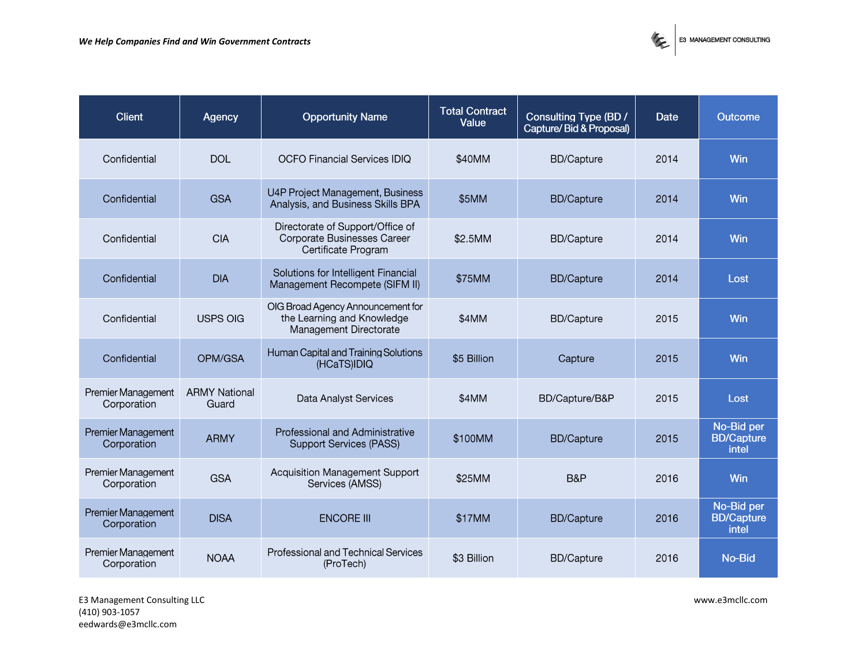

| <b>Client</b>                     | Agency                        | <b>Opportunity Name</b>                                                                   | <b>Total Contract</b><br>Value | <b>Consulting Type (BD /</b><br>Capture/Bid & Proposal) | <b>Date</b> | <b>Outcome</b>                           |
|-----------------------------------|-------------------------------|-------------------------------------------------------------------------------------------|--------------------------------|---------------------------------------------------------|-------------|------------------------------------------|
| Confidential                      | <b>DOL</b>                    | <b>OCFO Financial Services IDIQ</b>                                                       | \$40MM                         | <b>BD/Capture</b>                                       | 2014        | Win                                      |
| Confidential                      | <b>GSA</b>                    | U4P Project Management, Business<br>Analysis, and Business Skills BPA                     | \$5MM                          | <b>BD/Capture</b>                                       | 2014        | Win                                      |
| Confidential                      | <b>CIA</b>                    | Directorate of Support/Office of<br>Corporate Businesses Career<br>Certificate Program    | \$2.5MM                        | <b>BD/Capture</b>                                       | 2014        | Win                                      |
| Confidential                      | <b>DIA</b>                    | Solutions for Intelligent Financial<br>Management Recompete (SIFM II)                     | \$75MM                         | <b>BD/Capture</b>                                       | 2014        | Lost                                     |
| Confidential                      | <b>USPS OIG</b>               | OIG Broad Agency Announcement for<br>the Learning and Knowledge<br>Management Directorate | \$4MM                          | <b>BD/Capture</b>                                       | 2015        | Win                                      |
| Confidential                      | OPM/GSA                       | Human Capital and Training Solutions<br>(HCaTS)IDIQ                                       | \$5 Billion                    | Capture                                                 | 2015        | Win                                      |
| Premier Management<br>Corporation | <b>ARMY National</b><br>Guard | Data Analyst Services                                                                     | \$4MM                          | BD/Capture/B&P                                          | 2015        | Lost                                     |
| Premier Management<br>Corporation | <b>ARMY</b>                   | Professional and Administrative<br><b>Support Services (PASS)</b>                         | \$100MM                        | <b>BD/Capture</b>                                       | 2015        | No-Bid per<br><b>BD/Capture</b><br>intel |
| Premier Management<br>Corporation | <b>GSA</b>                    | Acquisition Management Support<br>Services (AMSS)                                         | \$25MM                         | B&P                                                     | 2016        | Win                                      |
| Premier Management<br>Corporation | <b>DISA</b>                   | <b>ENCORE III</b>                                                                         | \$17MM                         | <b>BD/Capture</b>                                       | 2016        | No-Bid per<br><b>BD/Capture</b><br>intel |
| Premier Management<br>Corporation | <b>NOAA</b>                   | Professional and Technical Services<br>(ProTech)                                          | \$3 Billion                    | <b>BD/Capture</b>                                       | 2016        | No-Bid                                   |

E3 Management Consulting LLC www.e3mcllc.com (410) 903-1057 eedwards@e3mcllc.com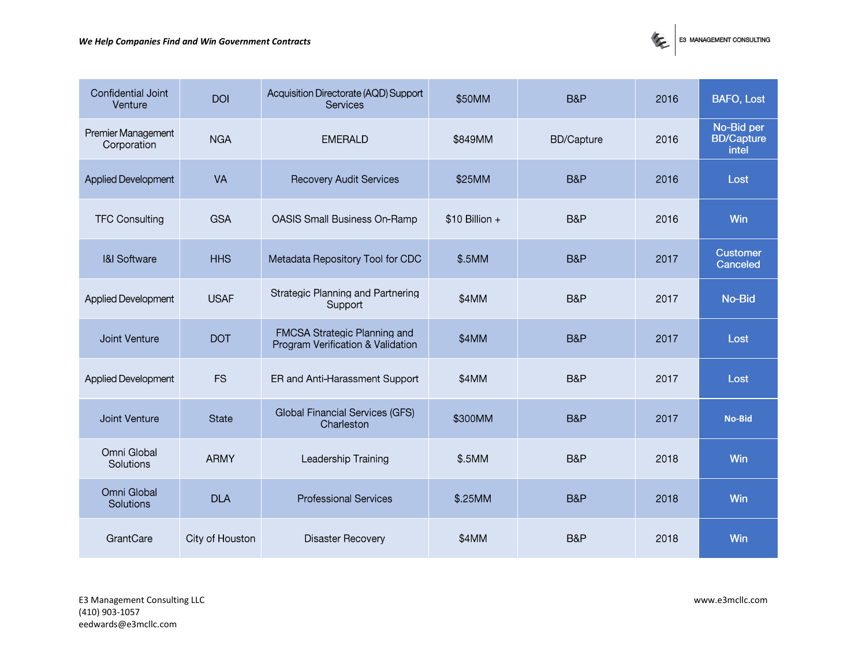

| Confidential Joint<br>Venture     | <b>DOI</b>      | Acquisition Directorate (AQD) Support<br><b>Services</b>          | \$50MM          | B&P               | 2016 | <b>BAFO, Lost</b>                        |
|-----------------------------------|-----------------|-------------------------------------------------------------------|-----------------|-------------------|------|------------------------------------------|
| Premier Management<br>Corporation | <b>NGA</b>      | <b>EMERALD</b>                                                    | \$849MM         | <b>BD/Capture</b> | 2016 | No-Bid per<br><b>BD/Capture</b><br>intel |
| Applied Development               | <b>VA</b>       | <b>Recovery Audit Services</b>                                    | \$25MM          | B&P               | 2016 | Lost                                     |
| <b>TFC Consulting</b>             | <b>GSA</b>      | OASIS Small Business On-Ramp                                      | $$10$ Billion + | B&P               | 2016 | Win                                      |
| <b>I&amp;I Software</b>           | <b>HHS</b>      | Metadata Repository Tool for CDC                                  | \$.5MM          | B&P               | 2017 | <b>Customer</b><br>Canceled              |
| <b>Applied Development</b>        | <b>USAF</b>     | Strategic Planning and Partnering<br>Support                      | \$4MM           | B&P               | 2017 | No-Bid                                   |
| Joint Venture                     | <b>DOT</b>      | FMCSA Strategic Planning and<br>Program Verification & Validation | \$4MM           | B&P               | 2017 | Lost                                     |
| <b>Applied Development</b>        | <b>FS</b>       | ER and Anti-Harassment Support                                    | \$4MM           | B&P               | 2017 | Lost                                     |
| Joint Venture                     | <b>State</b>    | Global Financial Services (GFS)<br>Charleston                     | \$300MM         | B&P               | 2017 | <b>No-Bid</b>                            |
| Omni Global<br>Solutions          | <b>ARMY</b>     | Leadership Training                                               | \$.5MM          | B&P               | 2018 | Win                                      |
| Omni Global<br>Solutions          | <b>DLA</b>      | <b>Professional Services</b>                                      | \$.25MM         | B&P               | 2018 | Win                                      |
| GrantCare                         | City of Houston | Disaster Recovery                                                 | \$4MM           | B&P               | 2018 | Win                                      |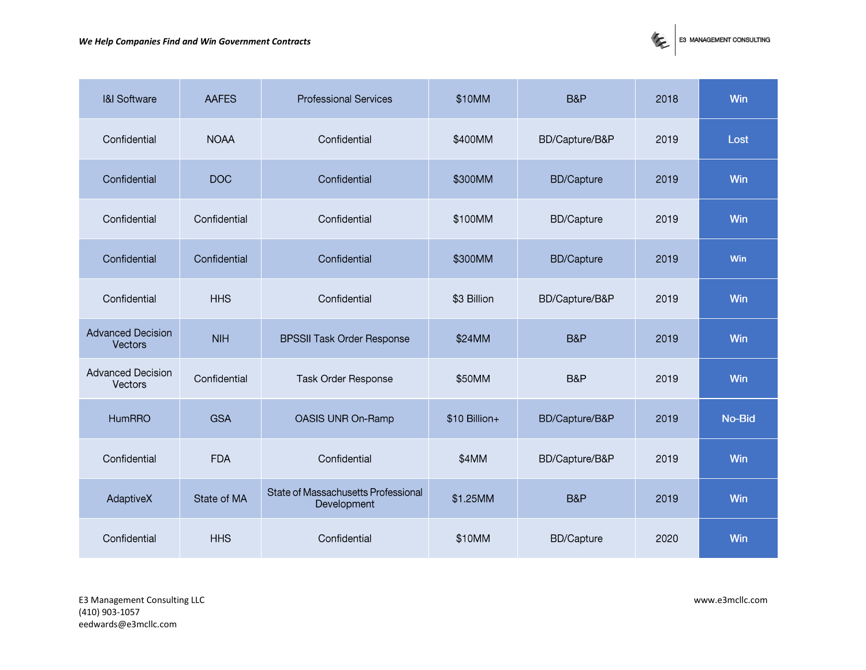

| <b>I&amp;I Software</b>                    | <b>AAFES</b> | <b>Professional Services</b>                       | \$10MM        | B&P               | 2018 | Win    |
|--------------------------------------------|--------------|----------------------------------------------------|---------------|-------------------|------|--------|
| Confidential                               | <b>NOAA</b>  | Confidential                                       | \$400MM       | BD/Capture/B&P    | 2019 | Lost   |
| Confidential                               | <b>DOC</b>   | Confidential                                       | \$300MM       | <b>BD/Capture</b> | 2019 | Win    |
| Confidential                               | Confidential | Confidential                                       | \$100MM       | <b>BD/Capture</b> | 2019 | Win    |
| Confidential                               | Confidential | Confidential                                       | \$300MM       | <b>BD/Capture</b> | 2019 | Win    |
| Confidential                               | <b>HHS</b>   | Confidential                                       | \$3 Billion   | BD/Capture/B&P    | 2019 | Win    |
| <b>Advanced Decision</b><br>Vectors        | <b>NIH</b>   | <b>BPSSII Task Order Response</b>                  | \$24MM        | B&P               | 2019 | Win    |
| <b>Advanced Decision</b><br><b>Vectors</b> | Confidential | Task Order Response                                | \$50MM        | B&P               | 2019 | Win    |
| <b>HumRRO</b>                              | <b>GSA</b>   | OASIS UNR On-Ramp                                  | \$10 Billion+ | BD/Capture/B&P    | 2019 | No-Bid |
| Confidential                               | <b>FDA</b>   | Confidential                                       | \$4MM         | BD/Capture/B&P    | 2019 | Win    |
| AdaptiveX                                  | State of MA  | State of Massachusetts Professional<br>Development | \$1.25MM      | B&P               | 2019 | Win    |
| Confidential                               | <b>HHS</b>   | Confidential                                       | \$10MM        | <b>BD/Capture</b> | 2020 | Win    |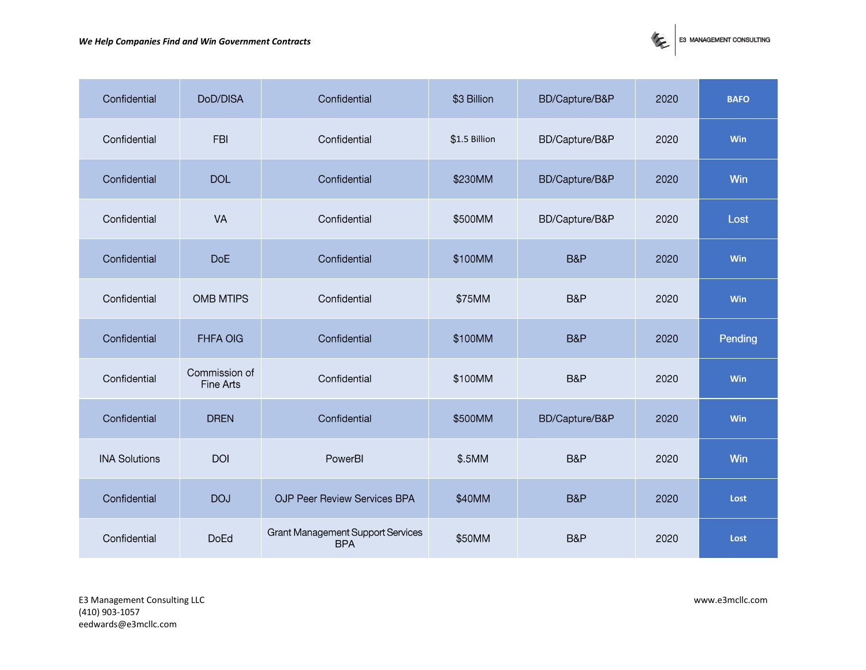

| Confidential         | DoD/DISA                   | Confidential                                    | \$3 Billion   | BD/Capture/B&P | 2020 | <b>BAFO</b> |
|----------------------|----------------------------|-------------------------------------------------|---------------|----------------|------|-------------|
| Confidential         | <b>FBI</b>                 | Confidential                                    | \$1.5 Billion | BD/Capture/B&P | 2020 | Win         |
| Confidential         | <b>DOL</b>                 | Confidential                                    | \$230MM       | BD/Capture/B&P | 2020 | Win         |
| Confidential         | VA                         | Confidential                                    | \$500MM       | BD/Capture/B&P | 2020 | Lost        |
| Confidential         | <b>DoE</b>                 | Confidential                                    | \$100MM       | B&P            | 2020 | Win         |
| Confidential         | <b>OMB MTIPS</b>           | Confidential                                    | \$75MM        | B&P            | 2020 | Win         |
| Confidential         | <b>FHFA OIG</b>            | Confidential                                    | \$100MM       | B&P            | 2020 | Pending     |
| Confidential         | Commission of<br>Fine Arts | Confidential                                    | \$100MM       | B&P            | 2020 | Win         |
| Confidential         | <b>DREN</b>                | Confidential                                    | \$500MM       | BD/Capture/B&P | 2020 | Win         |
| <b>INA Solutions</b> | <b>DOI</b>                 | PowerBI                                         | \$.5MM        | B&P            | 2020 | Win         |
| Confidential         | <b>DOJ</b>                 | <b>OJP Peer Review Services BPA</b>             | \$40MM        | B&P            | 2020 | Lost        |
| Confidential         | <b>DoEd</b>                | Grant Management Support Services<br><b>BPA</b> | \$50MM        | B&P            | 2020 | Lost        |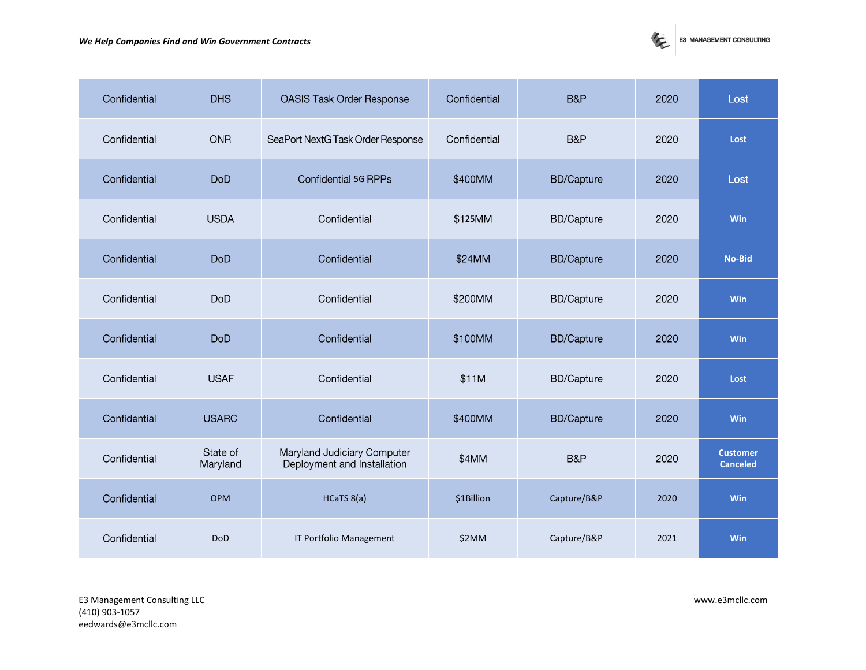

| Confidential | <b>DHS</b>           | <b>OASIS Task Order Response</b>                           | Confidential | B&P               | 2020 | Lost                               |
|--------------|----------------------|------------------------------------------------------------|--------------|-------------------|------|------------------------------------|
| Confidential | <b>ONR</b>           | SeaPort NextG Task Order Response                          | Confidential | B&P               | 2020 | Lost                               |
| Confidential | <b>DoD</b>           | <b>Confidential 5G RPPs</b>                                | \$400MM      | <b>BD/Capture</b> | 2020 | Lost                               |
| Confidential | <b>USDA</b>          | Confidential                                               | \$125MM      | <b>BD/Capture</b> | 2020 | Win                                |
| Confidential | <b>DoD</b>           | Confidential                                               | \$24MM       | <b>BD/Capture</b> | 2020 | <b>No-Bid</b>                      |
| Confidential | <b>DoD</b>           | Confidential                                               | \$200MM      | <b>BD/Capture</b> | 2020 | <b>Win</b>                         |
| Confidential | <b>DoD</b>           | Confidential                                               | \$100MM      | <b>BD/Capture</b> | 2020 | <b>Win</b>                         |
| Confidential | <b>USAF</b>          | Confidential                                               | \$11M        | <b>BD/Capture</b> | 2020 | Lost                               |
| Confidential | <b>USARC</b>         | Confidential                                               | \$400MM      | <b>BD/Capture</b> | 2020 | Win                                |
| Confidential | State of<br>Maryland | Maryland Judiciary Computer<br>Deployment and Installation | \$4MM        | B&P               | 2020 | <b>Customer</b><br><b>Canceled</b> |
| Confidential | <b>OPM</b>           | HCaTS 8(a)                                                 | \$1Billion   | Capture/B&P       | 2020 | Win                                |
| Confidential | <b>DoD</b>           | IT Portfolio Management                                    | \$2MM        | Capture/B&P       | 2021 | Win                                |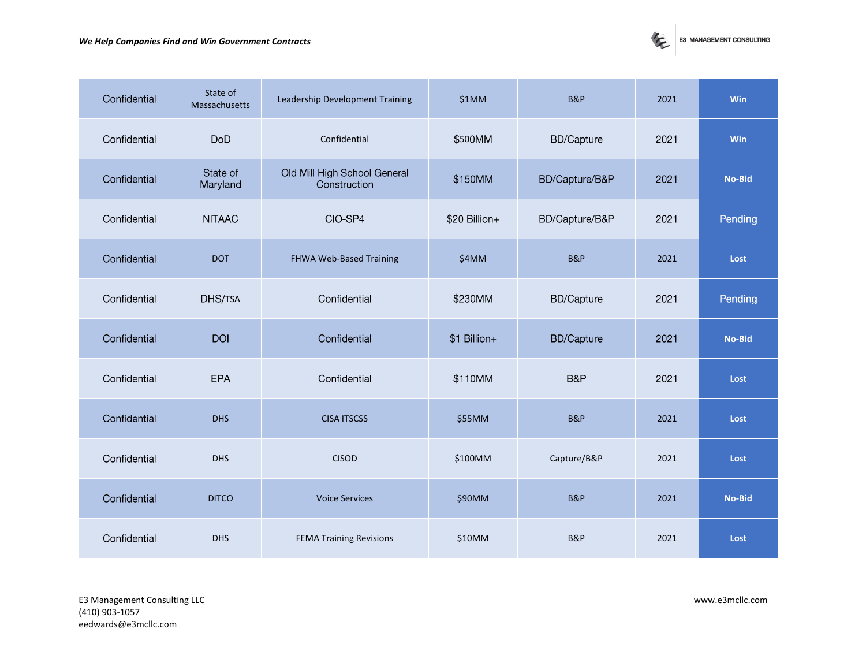## *We Help Companies Find and Win Government Contracts*



| Confidential | State of<br>Massachusetts | Leadership Development Training              | \$1MM         | <b>B&amp;P</b>    | 2021 | Win        |
|--------------|---------------------------|----------------------------------------------|---------------|-------------------|------|------------|
| Confidential | <b>DoD</b>                | Confidential                                 | \$500MM       | <b>BD/Capture</b> | 2021 | <b>Win</b> |
| Confidential | State of<br>Maryland      | Old Mill High School General<br>Construction | \$150MM       | BD/Capture/B&P    | 2021 | No-Bid     |
| Confidential | <b>NITAAC</b>             | CIO-SP4                                      | \$20 Billion+ | BD/Capture/B&P    | 2021 | Pending    |
| Confidential | <b>DOT</b>                | FHWA Web-Based Training                      | \$4MM         | <b>B&amp;P</b>    | 2021 | Lost       |
| Confidential | DHS/TSA                   | Confidential                                 | \$230MM       | <b>BD/Capture</b> | 2021 | Pending    |
| Confidential | <b>DOI</b>                | Confidential                                 | \$1 Billion+  | <b>BD/Capture</b> | 2021 | No-Bid     |
| Confidential | EPA                       | Confidential                                 | \$110MM       | B&P               | 2021 | Lost       |
| Confidential | <b>DHS</b>                | <b>CISA ITSCSS</b>                           | \$55MM        | <b>B&amp;P</b>    | 2021 | Lost       |
| Confidential | <b>DHS</b>                | <b>CISOD</b>                                 | \$100MM       | Capture/B&P       | 2021 | Lost       |
| Confidential | <b>DITCO</b>              | <b>Voice Services</b>                        | \$90MM        | <b>B&amp;P</b>    | 2021 | No-Bid     |
| Confidential | <b>DHS</b>                | <b>FEMA Training Revisions</b>               | \$10MM        | <b>B&amp;P</b>    | 2021 | Lost       |

E3 Management Consulting LLC www.e3mcllc.com (410) 903-1057 eedwards@e3mcllc.com